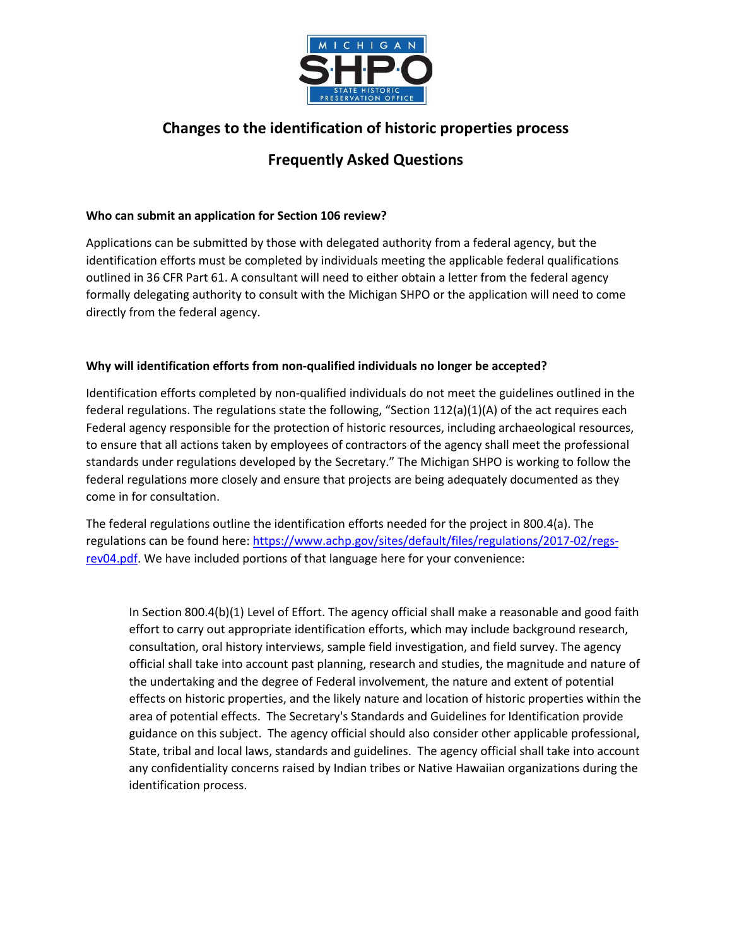

# **Changes to the identification of historic properties process**

# **Frequently Asked Questions**

## **Who can submit an application for Section 106 review?**

Applications can be submitted by those with delegated authority from a federal agency, but the identification efforts must be completed by individuals meeting the applicable federal qualifications outlined in 36 CFR Part 61. A consultant will need to either obtain a letter from the federal agency formally delegating authority to consult with the Michigan SHPO or the application will need to come directly from the federal agency.

## **Why will identification efforts from non-qualified individuals no longer be accepted?**

Identification efforts completed by non-qualified individuals do not meet the guidelines outlined in the federal regulations. The regulations state the following, "Section  $112(a)(1)(A)$  of the act requires each Federal agency responsible for the protection of historic resources, including archaeological resources, to ensure that all actions taken by employees of contractors of the agency shall meet the professional standards under regulations developed by the Secretary." The Michigan SHPO is working to follow the federal regulations more closely and ensure that projects are being adequately documented as they come in for consultation.

The federal regulations outline the identification efforts needed for the project in 800.4(a). The regulations can be found here[: https://www.achp.gov/sites/default/files/regulations/2017-02/regs](https://www.achp.gov/sites/default/files/regulations/2017-02/regs-rev04.pdf)[rev04.pdf.](https://www.achp.gov/sites/default/files/regulations/2017-02/regs-rev04.pdf) We have included portions of that language here for your convenience:

In Section 800.4(b)(1) Level of Effort. The agency official shall make a reasonable and good faith effort to carry out appropriate identification efforts, which may include background research, consultation, oral history interviews, sample field investigation, and field survey. The agency official shall take into account past planning, research and studies, the magnitude and nature of the undertaking and the degree of Federal involvement, the nature and extent of potential effects on historic properties, and the likely nature and location of historic properties within the area of potential effects. The Secretary's Standards and Guidelines for Identification provide guidance on this subject. The agency official should also consider other applicable professional, State, tribal and local laws, standards and guidelines. The agency official shall take into account any confidentiality concerns raised by Indian tribes or Native Hawaiian organizations during the identification process.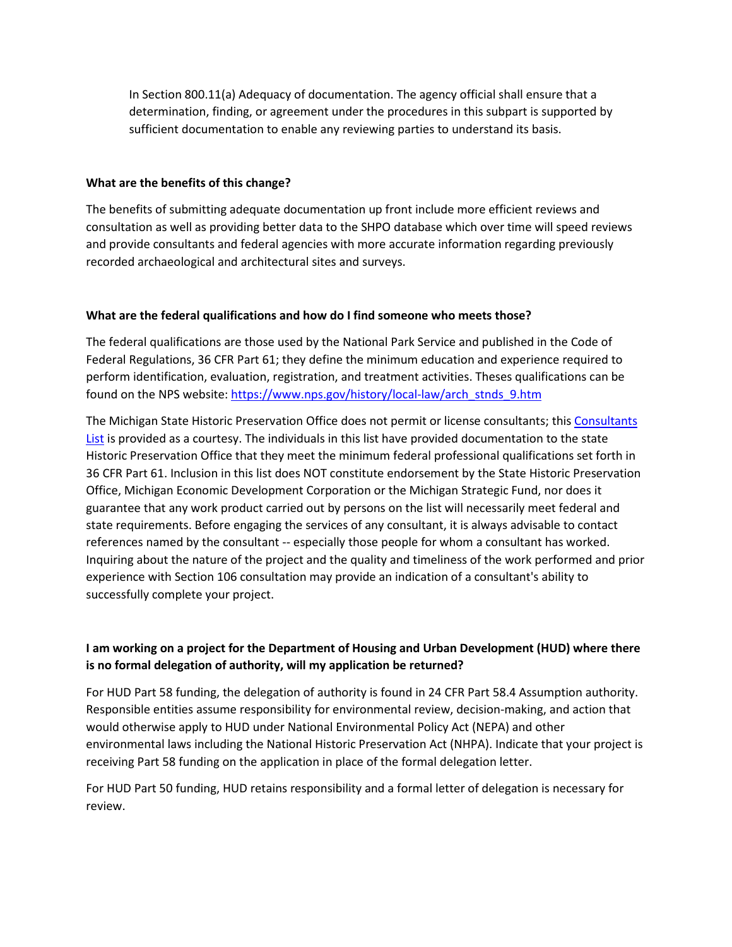In Section 800.11(a) Adequacy of documentation. The agency official shall ensure that a determination, finding, or agreement under the procedures in this subpart is supported by sufficient documentation to enable any reviewing parties to understand its basis.

#### **What are the benefits of this change?**

The benefits of submitting adequate documentation up front include more efficient reviews and consultation as well as providing better data to the SHPO database which over time will speed reviews and provide consultants and federal agencies with more accurate information regarding previously recorded archaeological and architectural sites and surveys.

#### **What are the federal qualifications and how do I find someone who meets those?**

The federal qualifications are those used by the National Park Service and published in the Code of Federal Regulations, 36 CFR Part 61; they define the minimum education and experience required to perform identification, evaluation, registration, and treatment activities. Theses qualifications can be found on the NPS website: [https://www.nps.gov/history/local-law/arch\\_stnds\\_9.htm](https://www.nps.gov/history/local-law/arch_stnds_9.htm)

The Michigan State Historic Preservation Office does not permit or license consultants; thi[s Consultants](https://www.miplace.org/490db0/globalassets/documents/shpo/programs-and-services/archaeology/archaeology-in-michigan/archaeologist-historian-and-architectural-historian-consultant-list.pdf.pdf)  [List](https://www.miplace.org/490db0/globalassets/documents/shpo/programs-and-services/archaeology/archaeology-in-michigan/archaeologist-historian-and-architectural-historian-consultant-list.pdf.pdf) is provided as a courtesy. The individuals in this list have provided documentation to the state Historic Preservation Office that they meet the minimum federal professional qualifications set forth in 36 CFR Part 61. Inclusion in this list does NOT constitute endorsement by the State Historic Preservation Office, Michigan Economic Development Corporation or the Michigan Strategic Fund, nor does it guarantee that any work product carried out by persons on the list will necessarily meet federal and state requirements. Before engaging the services of any consultant, it is always advisable to contact references named by the consultant -- especially those people for whom a consultant has worked. Inquiring about the nature of the project and the quality and timeliness of the work performed and prior experience with Section 106 consultation may provide an indication of a consultant's ability to successfully complete your project.

## **I am working on a project for the Department of Housing and Urban Development (HUD) where there is no formal delegation of authority, will my application be returned?**

For HUD Part 58 funding, the delegation of authority is found in 24 CFR Part 58.4 Assumption authority. Responsible entities assume responsibility for environmental review, decision-making, and action that would otherwise apply to HUD under National Environmental Policy Act (NEPA) and other environmental laws including the National Historic Preservation Act (NHPA). Indicate that your project is receiving Part 58 funding on the application in place of the formal delegation letter.

For HUD Part 50 funding, HUD retains responsibility and a formal letter of delegation is necessary for review.